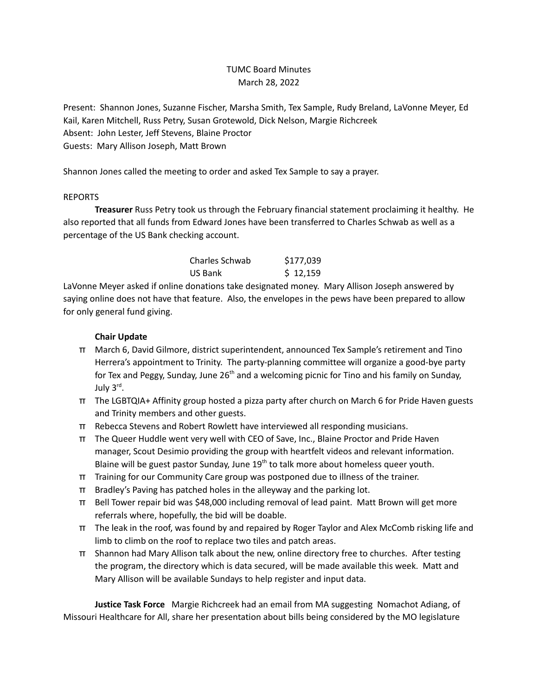## TUMC Board Minutes March 28, 2022

Present: Shannon Jones, Suzanne Fischer, Marsha Smith, Tex Sample, Rudy Breland, LaVonne Meyer, Ed Kail, Karen Mitchell, Russ Petry, Susan Grotewold, Dick Nelson, Margie Richcreek Absent: John Lester, Jeff Stevens, Blaine Proctor Guests: Mary Allison Joseph, Matt Brown

Shannon Jones called the meeting to order and asked Tex Sample to say a prayer.

## REPORTS

**Treasurer** Russ Petry took us through the February financial statement proclaiming it healthy. He also reported that all funds from Edward Jones have been transferred to Charles Schwab as well as a percentage of the US Bank checking account.

| Charles Schwab | \$177,039 |
|----------------|-----------|
| US Bank        | \$12,159  |

LaVonne Meyer asked if online donations take designated money. Mary Allison Joseph answered by saying online does not have that feature. Also, the envelopes in the pews have been prepared to allow for only general fund giving.

## **Chair Update**

- π March 6, David Gilmore, district superintendent, announced Tex Sample's retirement and Tino Herrera's appointment to Trinity. The party-planning committee will organize a good-bye party for Tex and Peggy, Sunday, June 26<sup>th</sup> and a welcoming picnic for Tino and his family on Sunday, July 3<sup>rd</sup>.
- π The LGBTQIA+ Affinity group hosted a pizza party after church on March 6 for Pride Haven guests and Trinity members and other guests.
- π Rebecca Stevens and Robert Rowlett have interviewed all responding musicians.
- π The Queer Huddle went very well with CEO of Save, Inc., Blaine Proctor and Pride Haven manager, Scout Desimio providing the group with heartfelt videos and relevant information. Blaine will be guest pastor Sunday, June 19<sup>th</sup> to talk more about homeless queer youth.
- π Training for our Community Care group was postponed due to illness of the trainer.
- π Bradley's Paving has patched holes in the alleyway and the parking lot.
- π Bell Tower repair bid was \$48,000 including removal of lead paint. Matt Brown will get more referrals where, hopefully, the bid will be doable.
- π The leak in the roof, was found by and repaired by Roger Taylor and Alex McComb risking life and limb to climb on the roof to replace two tiles and patch areas.
- π Shannon had Mary Allison talk about the new, online directory free to churches. After testing the program, the directory which is data secured, will be made available this week. Matt and Mary Allison will be available Sundays to help register and input data.

**Justice Task Force** Margie Richcreek had an email from MA suggesting Nomachot Adiang, of Missouri Healthcare for All, share her presentation about bills being considered by the MO legislature